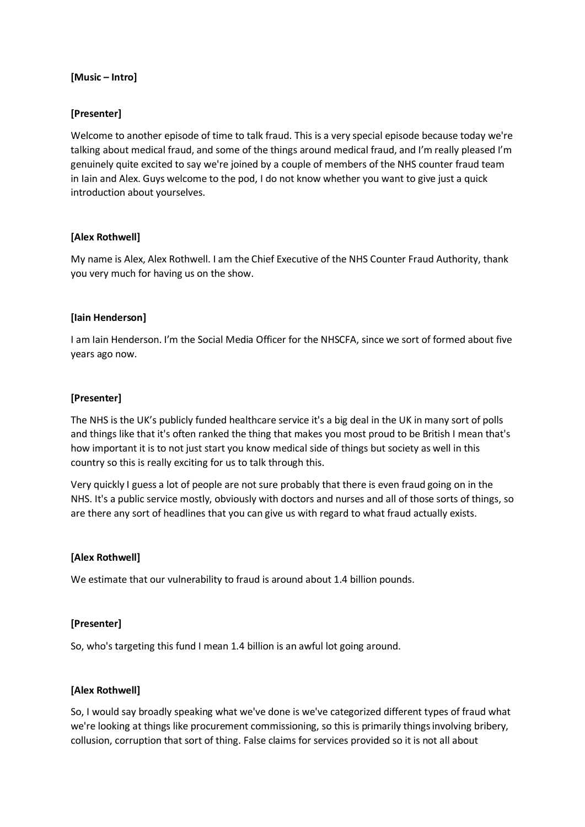#### **[Music – Intro]**

# **[Presenter]**

Welcome to another episode of time to talk fraud. This is a very special episode because today we're talking about medical fraud, and some of the things around medical fraud, and I'm really pleased I'm genuinely quite excited to say we're joined by a couple of members of the NHS counter fraud team in Iain and Alex. Guys welcome to the pod, I do not know whether you want to give just a quick introduction about yourselves.

## **[Alex Rothwell]**

My name is Alex, Alex Rothwell. I am the Chief Executive of the NHS Counter Fraud Authority, thank you very much for having us on the show.

## **[Iain Henderson]**

I am Iain Henderson. I'm the Social Media Officer for the NHSCFA, since we sort of formed about five years ago now.

#### **[Presenter]**

The NHS is the UK's publicly funded healthcare service it's a big deal in the UK in many sort of polls and things like that it's often ranked the thing that makes you most proud to be British I mean that's how important it is to not just start you know medical side of things but society as well in this country so this is really exciting for us to talk through this.

Very quickly I guess a lot of people are not sure probably that there is even fraud going on in the NHS. It's a public service mostly, obviously with doctors and nurses and all of those sorts of things, so are there any sort of headlines that you can give us with regard to what fraud actually exists.

#### **[Alex Rothwell]**

We estimate that our vulnerability to fraud is around about 1.4 billion pounds.

## **[Presenter]**

So, who's targeting this fund I mean 1.4 billion is an awful lot going around.

## **[Alex Rothwell]**

So, I would say broadly speaking what we've done is we've categorized different types of fraud what we're looking at things like procurement commissioning, so this is primarily things involving bribery, collusion, corruption that sort of thing. False claims for services provided so it is not all about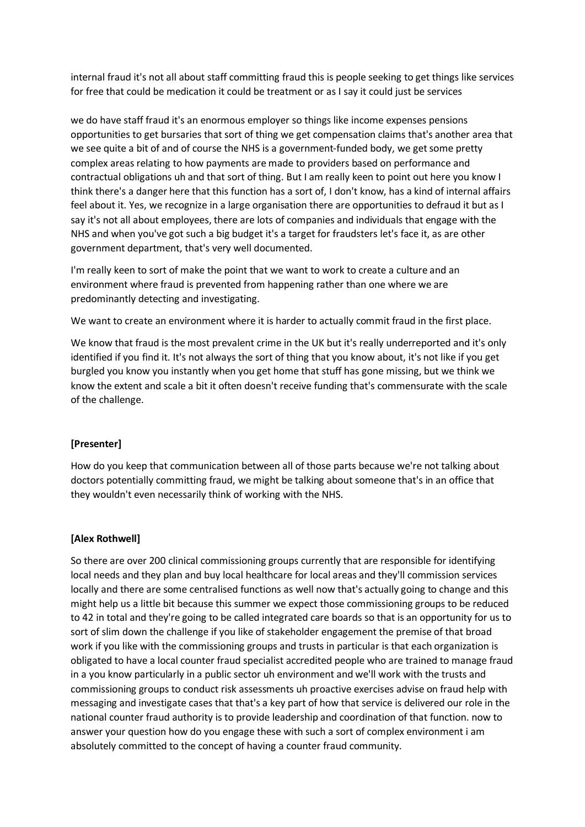internal fraud it's not all about staff committing fraud this is people seeking to get things like services for free that could be medication it could be treatment or as I say it could just be services

we do have staff fraud it's an enormous employer so things like income expenses pensions opportunities to get bursaries that sort of thing we get compensation claims that's another area that we see quite a bit of and of course the NHS is a government-funded body, we get some pretty complex areas relating to how payments are made to providers based on performance and contractual obligations uh and that sort of thing. But I am really keen to point out here you know I think there's a danger here that this function has a sort of, I don't know, has a kind of internal affairs feel about it. Yes, we recognize in a large organisation there are opportunities to defraud it but as I say it's not all about employees, there are lots of companies and individuals that engage with the NHS and when you've got such a big budget it's a target for fraudsters let's face it, as are other government department, that's very well documented.

I'm really keen to sort of make the point that we want to work to create a culture and an environment where fraud is prevented from happening rather than one where we are predominantly detecting and investigating.

We want to create an environment where it is harder to actually commit fraud in the first place.

We know that fraud is the most prevalent crime in the UK but it's really underreported and it's only identified if you find it. It's not always the sort of thing that you know about, it's not like if you get burgled you know you instantly when you get home that stuff has gone missing, but we think we know the extent and scale a bit it often doesn't receive funding that's commensurate with the scale of the challenge.

## **[Presenter]**

How do you keep that communication between all of those parts because we're not talking about doctors potentially committing fraud, we might be talking about someone that's in an office that they wouldn't even necessarily think of working with the NHS.

## **[Alex Rothwell]**

So there are over 200 clinical commissioning groups currently that are responsible for identifying local needs and they plan and buy local healthcare for local areas and they'll commission services locally and there are some centralised functions as well now that's actually going to change and this might help us a little bit because this summer we expect those commissioning groups to be reduced to 42 in total and they're going to be called integrated care boards so that is an opportunity for us to sort of slim down the challenge if you like of stakeholder engagement the premise of that broad work if you like with the commissioning groups and trusts in particular is that each organization is obligated to have a local counter fraud specialist accredited people who are trained to manage fraud in a you know particularly in a public sector uh environment and we'll work with the trusts and commissioning groups to conduct risk assessments uh proactive exercises advise on fraud help with messaging and investigate cases that that's a key part of how that service is delivered our role in the national counter fraud authority is to provide leadership and coordination of that function. now to answer your question how do you engage these with such a sort of complex environment i am absolutely committed to the concept of having a counter fraud community.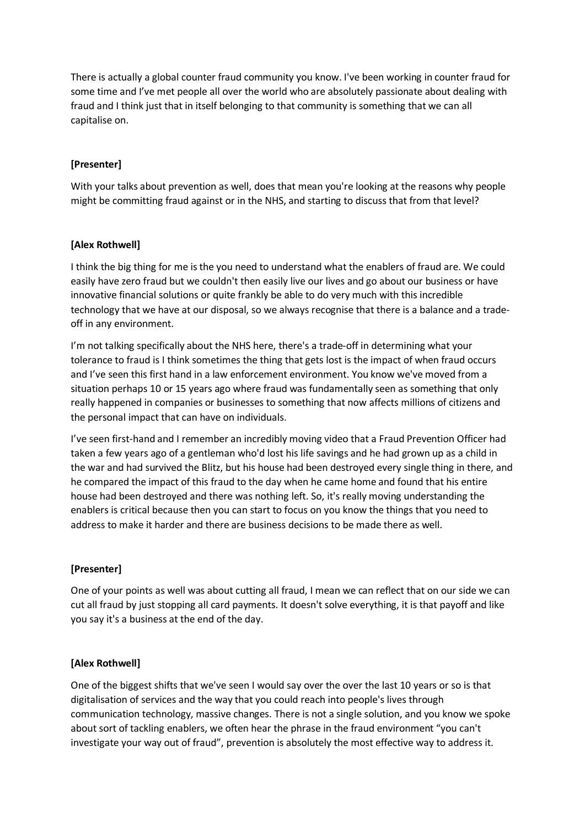There is actually a global counter fraud community you know. I've been working in counter fraud for some time and I've met people all over the world who are absolutely passionate about dealing with fraud and I think just that in itself belonging to that community is something that we can all capitalise on.

# **[Presenter]**

With your talks about prevention as well, does that mean you're looking at the reasons why people might be committing fraud against or in the NHS, and starting to discuss that from that level?

#### **[Alex Rothwell]**

I think the big thing for me is the you need to understand what the enablers of fraud are. We could easily have zero fraud but we couldn't then easily live our lives and go about our business or have innovative financial solutions or quite frankly be able to do very much with this incredible technology that we have at our disposal, so we always recognise that there is a balance and a tradeoff in any environment.

I'm not talking specifically about the NHS here, there's a trade-off in determining what your tolerance to fraud is I think sometimes the thing that gets lost is the impact of when fraud occurs and I've seen this first hand in a law enforcement environment. You know we've moved from a situation perhaps 10 or 15 years ago where fraud was fundamentally seen as something that only really happened in companies or businesses to something that now affects millions of citizens and the personal impact that can have on individuals.

I've seen first-hand and I remember an incredibly moving video that a Fraud Prevention Officer had taken a few years ago of a gentleman who'd lost his life savings and he had grown up as a child in the war and had survived the Blitz, but his house had been destroyed every single thing in there, and he compared the impact of this fraud to the day when he came home and found that his entire house had been destroyed and there was nothing left. So, it's really moving understanding the enablers is critical because then you can start to focus on you know the things that you need to address to make it harder and there are business decisions to be made there as well.

## **[Presenter]**

One of your points as well was about cutting all fraud, I mean we can reflect that on our side we can cut all fraud by just stopping all card payments. It doesn't solve everything, it is that payoff and like you say it's a business at the end of the day.

#### **[Alex Rothwell]**

One of the biggest shifts that we've seen I would say over the over the last 10 years or so is that digitalisation of services and the way that you could reach into people's lives through communication technology, massive changes. There is not a single solution, and you know we spoke about sort of tackling enablers, we often hear the phrase in the fraud environment "you can't investigate your way out of fraud", prevention is absolutely the most effective way to address it.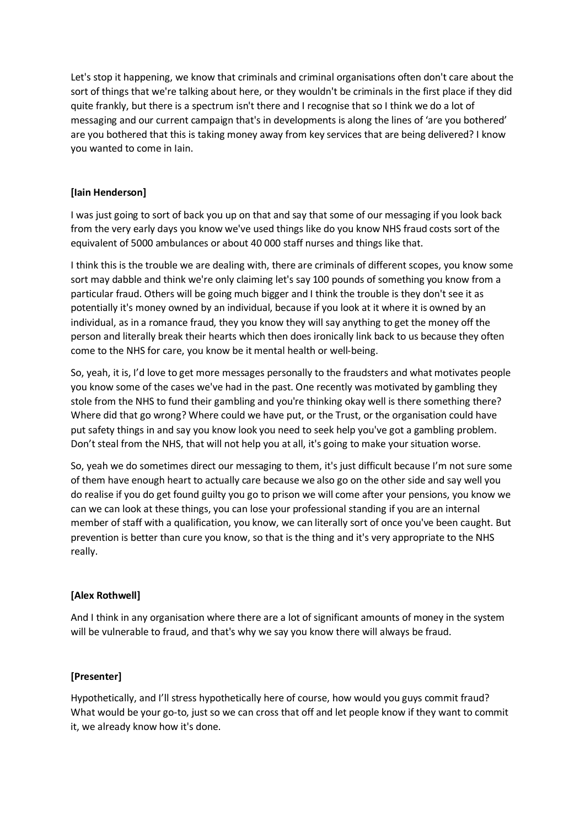Let's stop it happening, we know that criminals and criminal organisations often don't care about the sort of things that we're talking about here, or they wouldn't be criminals in the first place if they did quite frankly, but there is a spectrum isn't there and I recognise that so I think we do a lot of messaging and our current campaign that's in developments is along the lines of 'are you bothered' are you bothered that this is taking money away from key services that are being delivered? I know you wanted to come in Iain.

## **[Iain Henderson]**

I was just going to sort of back you up on that and say that some of our messaging if you look back from the very early days you know we've used things like do you know NHS fraud costs sort of the equivalent of 5000 ambulances or about 40 000 staff nurses and things like that.

I think this is the trouble we are dealing with, there are criminals of different scopes, you know some sort may dabble and think we're only claiming let's say 100 pounds of something you know from a particular fraud. Others will be going much bigger and I think the trouble is they don't see it as potentially it's money owned by an individual, because if you look at it where it is owned by an individual, as in a romance fraud, they you know they will say anything to get the money off the person and literally break their hearts which then does ironically link back to us because they often come to the NHS for care, you know be it mental health or well-being.

So, yeah, it is, I'd love to get more messages personally to the fraudsters and what motivates people you know some of the cases we've had in the past. One recently was motivated by gambling they stole from the NHS to fund their gambling and you're thinking okay well is there something there? Where did that go wrong? Where could we have put, or the Trust, or the organisation could have put safety things in and say you know look you need to seek help you've got a gambling problem. Don't steal from the NHS, that will not help you at all, it's going to make your situation worse.

So, yeah we do sometimes direct our messaging to them, it's just difficult because I'm not sure some of them have enough heart to actually care because we also go on the other side and say well you do realise if you do get found guilty you go to prison we will come after your pensions, you know we can we can look at these things, you can lose your professional standing if you are an internal member of staff with a qualification, you know, we can literally sort of once you've been caught. But prevention is better than cure you know, so that is the thing and it's very appropriate to the NHS really.

## **[Alex Rothwell]**

And I think in any organisation where there are a lot of significant amounts of money in the system will be vulnerable to fraud, and that's why we say you know there will always be fraud.

## **[Presenter]**

Hypothetically, and I'll stress hypothetically here of course, how would you guys commit fraud? What would be your go-to, just so we can cross that off and let people know if they want to commit it, we already know how it's done.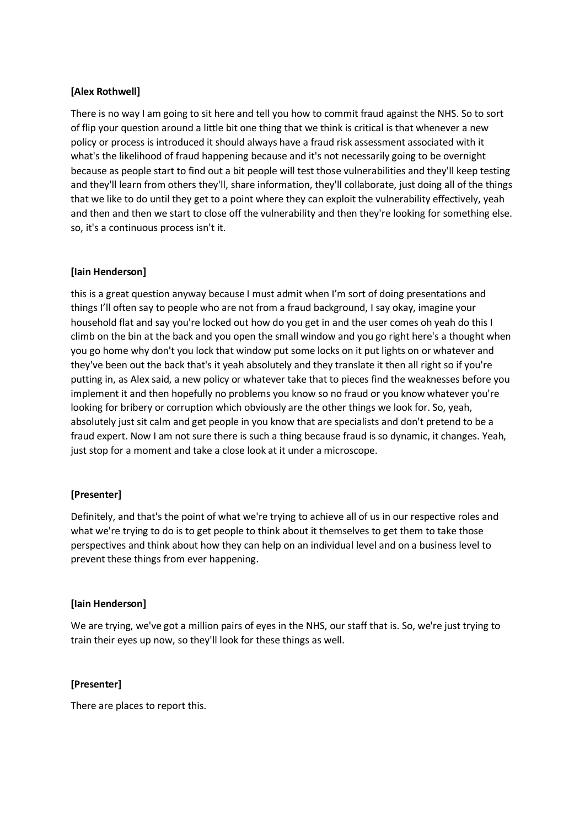# **[Alex Rothwell]**

There is no way I am going to sit here and tell you how to commit fraud against the NHS. So to sort of flip your question around a little bit one thing that we think is critical is that whenever a new policy or process is introduced it should always have a fraud risk assessment associated with it what's the likelihood of fraud happening because and it's not necessarily going to be overnight because as people start to find out a bit people will test those vulnerabilities and they'll keep testing and they'll learn from others they'll, share information, they'll collaborate, just doing all of the things that we like to do until they get to a point where they can exploit the vulnerability effectively, yeah and then and then we start to close off the vulnerability and then they're looking for something else. so, it's a continuous process isn't it.

#### **[Iain Henderson]**

this is a great question anyway because I must admit when I'm sort of doing presentations and things I'll often say to people who are not from a fraud background, I say okay, imagine your household flat and say you're locked out how do you get in and the user comes oh yeah do this I climb on the bin at the back and you open the small window and you go right here's a thought when you go home why don't you lock that window put some locks on it put lights on or whatever and they've been out the back that's it yeah absolutely and they translate it then all right so if you're putting in, as Alex said, a new policy or whatever take that to pieces find the weaknesses before you implement it and then hopefully no problems you know so no fraud or you know whatever you're looking for bribery or corruption which obviously are the other things we look for. So, yeah, absolutely just sit calm and get people in you know that are specialists and don't pretend to be a fraud expert. Now I am not sure there is such a thing because fraud is so dynamic, it changes. Yeah, just stop for a moment and take a close look at it under a microscope.

## **[Presenter]**

Definitely, and that's the point of what we're trying to achieve all of us in our respective roles and what we're trying to do is to get people to think about it themselves to get them to take those perspectives and think about how they can help on an individual level and on a business level to prevent these things from ever happening.

## **[Iain Henderson]**

We are trying, we've got a million pairs of eyes in the NHS, our staff that is. So, we're just trying to train their eyes up now, so they'll look for these things as well.

## **[Presenter]**

There are places to report this.